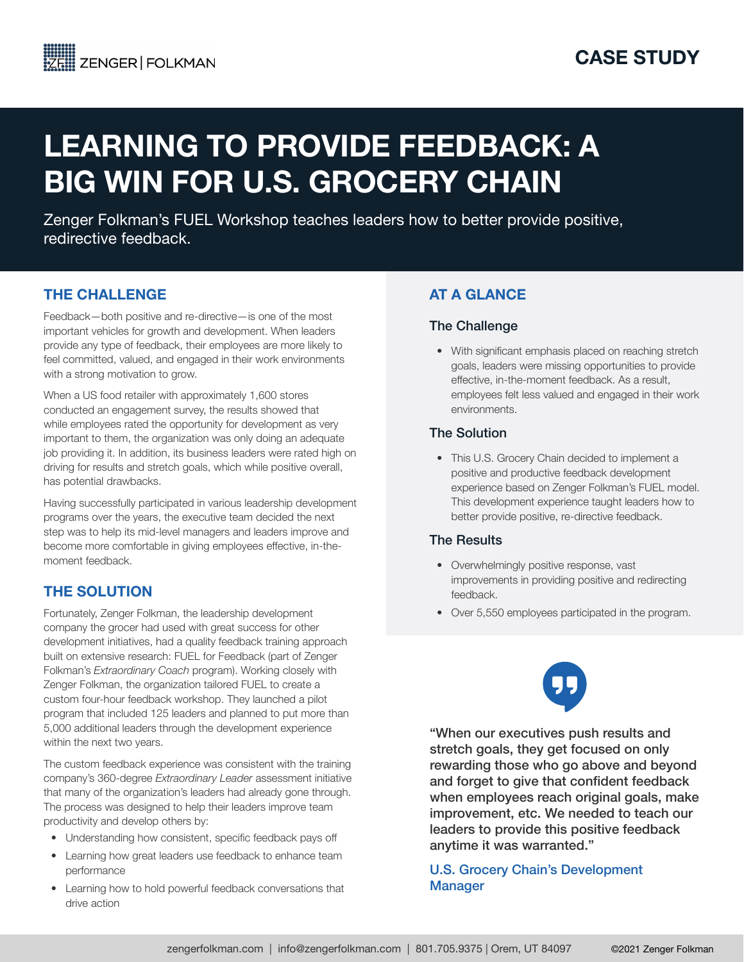# LEARNING TO PROVIDE FEEDBACK: A BIG WIN FOR U.S. GROCERY CHAIN

Zenger Folkman's FUEL Workshop teaches leaders how to better provide positive, redirective feedback.

## THE CHALLENGE

Feedback—both positive and re-directive—is one of the most important vehicles for growth and development. When leaders provide any type of feedback, their employees are more likely to feel committed, valued, and engaged in their work environments with a strong motivation to grow.

When a US food retailer with approximately 1,600 stores conducted an engagement survey, the results showed that while employees rated the opportunity for development as very important to them, the organization was only doing an adequate job providing it. In addition, its business leaders were rated high on driving for results and stretch goals, which while positive overall, has potential drawbacks.

Having successfully participated in various leadership development programs over the years, the executive team decided the next step was to help its mid-level managers and leaders improve and become more comfortable in giving employees effective, in-themoment feedback.

# THE SOLUTION

Fortunately, Zenger Folkman, the leadership development company the grocer had used with great success for other development initiatives, had a quality feedback training approach built on extensive research: FUEL for Feedback (part of Zenger Folkman's *Extraordinary Coach* program). Working closely with Zenger Folkman, the organization tailored FUEL to create a custom four-hour feedback workshop. They launched a pilot program that included 125 leaders and planned to put more than 5,000 additional leaders through the development experience within the next two years.

The custom feedback experience was consistent with the training company's 360-degree *Extraordinary Leader* assessment initiative that many of the organization's leaders had already gone through. The process was designed to help their leaders improve team productivity and develop others by:

- Understanding how consistent, specific feedback pays off
- Learning how great leaders use feedback to enhance team performance
- Learning how to hold powerful feedback conversations that drive action

# AT A GLANCE

#### The Challenge

• With significant emphasis placed on reaching stretch goals, leaders were missing opportunities to provide effective, in-the-moment feedback. As a result, employees felt less valued and engaged in their work environments.

#### The Solution

• This U.S. Grocery Chain decided to implement a positive and productive feedback development experience based on Zenger Folkman's FUEL model. This development experience taught leaders how to better provide positive, re-directive feedback.

### The Results

- Overwhelmingly positive response, vast improvements in providing positive and redirecting feedback.
- Over 5,550 employees participated in the program.



"When our executives push results and stretch goals, they get focused on only rewarding those who go above and beyond and forget to give that confident feedback when employees reach original goals, make improvement, etc. We needed to teach our leaders to provide this positive feedback anytime it was warranted."

U.S. Grocery Chain's Development Manager